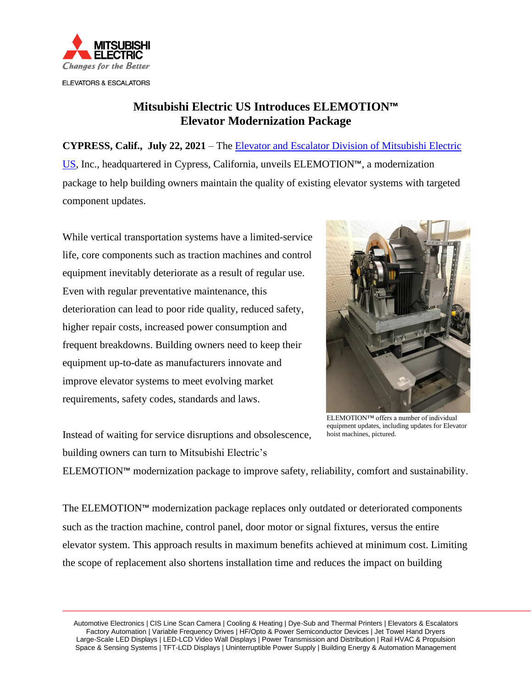

## **Mitsubishi Electric US Introduces ELEMOTION™ Elevator Modernization Package**

**CYPRESS, Calif., July 22, 2021** – The [Elevator and Escalator Division of Mitsubishi Electric](http://www.mitsubishielevator.com/)  [US,](http://www.mitsubishielevator.com/) Inc., headquartered in Cypress, California, unveils ELEMOTION™, a modernization package to help building owners maintain the quality of existing elevator systems with targeted component updates.

While vertical transportation systems have a limited-service life, core components such as traction machines and control equipment inevitably deteriorate as a result of regular use. Even with regular preventative maintenance, this deterioration can lead to poor ride quality, reduced safety, higher repair costs, increased power consumption and frequent breakdowns. Building owners need to keep their equipment up-to-date as manufacturers innovate and improve elevator systems to meet evolving market requirements, safety codes, standards and laws.



Instead of waiting for service disruptions and obsolescence, building owners can turn to Mitsubishi Electric's

ELEMOTION™ offers a number of individual equipment updates, including updates for Elevator hoist machines, pictured.

ELEMOTION™ modernization package to improve safety, reliability, comfort and sustainability.

The ELEMOTION™ modernization package replaces only outdated or deteriorated components such as the traction machine, control panel, door motor or signal fixtures, versus the entire elevator system. This approach results in maximum benefits achieved at minimum cost. Limiting the scope of replacement also shortens installation time and reduces the impact on building

 Automotive Electronics | CIS Line Scan Camera | Cooling & Heating | Dye-Sub and Thermal Printers | Elevators & Escalators Factory Automation | Variable Frequency Drives | HF/Opto & Power Semiconductor Devices | Jet Towel Hand Dryers Large-Scale LED Displays | LED-LCD Video Wall Displays | Power Transmission and Distribution | Rail HVAC & Propulsion Space & Sensing Systems | TFT-LCD Displays | Uninterruptible Power Supply | Building Energy & Automation Management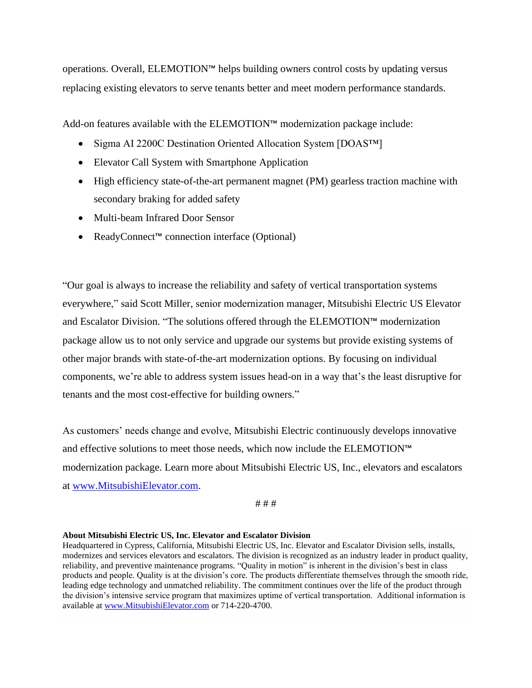operations. Overall, ELEMOTION™ helps building owners control costs by updating versus replacing existing elevators to serve tenants better and meet modern performance standards.

Add-on features available with the ELEMOTION™ modernization package include:

- Sigma AI 2200C Destination Oriented Allocation System [DOAS™]
- Elevator Call System with Smartphone Application
- High efficiency state-of-the-art permanent magnet (PM) gearless traction machine with secondary braking for added safety
- Multi-beam Infrared Door Sensor
- ReadyConnect™ connection interface (Optional)

"Our goal is always to increase the reliability and safety of vertical transportation systems everywhere," said Scott Miller, senior modernization manager, Mitsubishi Electric US Elevator and Escalator Division. "The solutions offered through the ELEMOTION™ modernization package allow us to not only service and upgrade our systems but provide existing systems of other major brands with state-of-the-art modernization options. By focusing on individual components, we're able to address system issues head-on in a way that's the least disruptive for tenants and the most cost-effective for building owners."

As customers' needs change and evolve, Mitsubishi Electric continuously develops innovative and effective solutions to meet those needs, which now include the ELEMOTION™ modernization package. Learn more about Mitsubishi Electric US, Inc., elevators and escalators at [www.MitsubishiElevator.com.](http://www.mitsubishielevator.com/)

## # # #

## **About Mitsubishi Electric US, Inc. Elevator and Escalator Division**

Headquartered in Cypress, California, Mitsubishi Electric US, Inc. Elevator and Escalator Division sells, installs, modernizes and services elevators and escalators. The division is recognized as an industry leader in product quality, reliability, and preventive maintenance programs. "Quality in motion" is inherent in the division's best in class products and people. Quality is at the division's core. The products differentiate themselves through the smooth ride, leading edge technology and unmatched reliability. The commitment continues over the life of the product through the division's intensive service program that maximizes uptime of vertical transportation. Additional information is available at [www.MitsubishiElevator.com](https://www.mitsubishielevator.com/) or 714-220-4700.